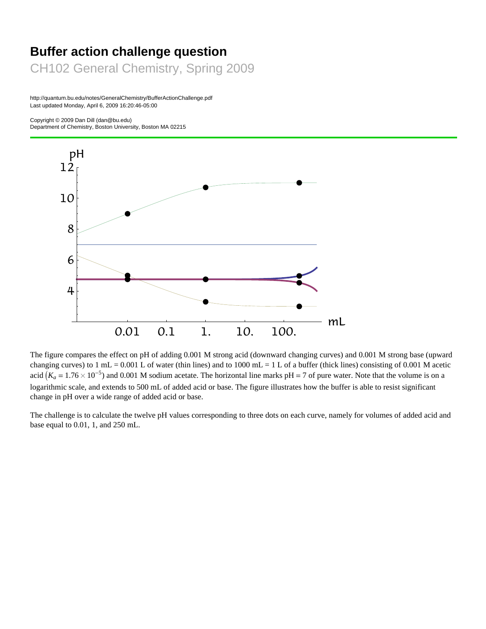# **Buffer action challenge question** CH102 General Chemistry, Spring 2009

http://quantum.bu.edu/notes/GeneralChemistry/BufferActionChallenge.pdf Last updated Monday, April 6, 2009 16:20:46-05:00

Copyright © 2009 Dan Dill (dan@bu.edu)

Department of Chemistry, Boston University, Boston MA 02215



The figure compares the effect on pH of adding 0.001 M strong acid (downward changing curves) and 0.001 M strong base (upward changing curves) to 1 mL = 0.001 L of water (thin lines) and to 1000 mL = 1 L of a buffer (thick lines) consisting of 0.001 M acetic acid  $(K_a = 1.76 \times 10^{-5})$  and 0.001 M sodium acetate. The horizontal line marks pH = 7 of pure water. Note that the volume is on a logarithmic scale, and extends to 500 mL of added acid or base. The figure illustrates how the buffer is able to resist significant change in pH over a wide range of added acid or base.

The challenge is to calculate the twelve pH values corresponding to three dots on each curve, namely for volumes of added acid and base equal to 0.01, 1, and 250 mL.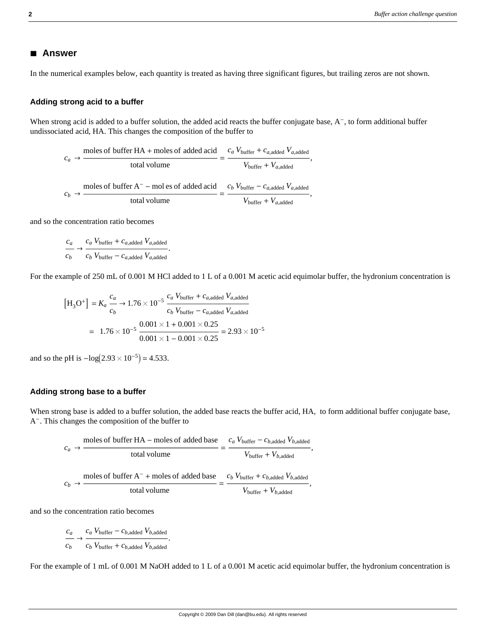## **à Answer**

In the numerical examples below, each quantity is treated as having three significant figures, but trailing zeros are not shown.

#### **Adding strong acid to a buffer**

When strong acid is added to a buffer solution, the added acid reacts the buffer conjugate base,  $A^-$ , to form additional buffer undissociated acid, HA. This changes the composition of the buffer to

$$
c_a \rightarrow \frac{\text{moles of buffer HA + moles of added acid}}{\text{total volume}} = \frac{c_a V_{\text{buffer}} + c_{a,\text{added}} V_{a,\text{added}}}{V_{\text{buffer}} + V_{a,\text{added}}},
$$

$$
c_b \rightarrow \frac{\text{moles of buffer A}^{\text{}} - \text{moles of added acid}}{\text{total volume}} = \frac{c_b V_{\text{buffer}} - c_{a,\text{added}} V_{a,\text{added}}}{V_{\text{buffer}} + V_{a,\text{added}}},
$$

and so the concentration ratio becomes

$$
\frac{c_a}{c_b} \rightarrow \frac{c_a V_{\text{buffer}} + c_{a,\text{added}} V_{a,\text{added}}}{c_b V_{\text{buffer}} - c_{a,\text{added}} V_{a,\text{added}}}.
$$

For the example of 250 mL of 0.001 M HCl added to 1 L of a 0.001 M acetic acid equimolar buffer, the hydronium concentration is

$$
[H_3O^+] = K_a \frac{c_a}{c_b} \rightarrow 1.76 \times 10^{-5} \frac{c_a V_{buffer} + c_{a,added} V_{a,added}}{c_b V_{buffer} - c_{a,added} V_{a,added}}
$$
  
= 1.76 × 10<sup>-5</sup>  $\frac{0.001 \times 1 + 0.001 \times 0.25}{0.001 \times 1 - 0.001 \times 0.25} = 2.93 \times 10^{-5}$ 

and so the pH is  $-\log(2.93 \times 10^{-5}) = 4.533$ .

#### **Adding strong base to a buffer**

When strong base is added to a buffer solution, the added base reacts the buffer acid, HA, to form additional buffer conjugate base, A-. This changes the composition of the buffer to

$$
c_a \rightarrow \frac{\text{moles of buffer HA} - \text{moles of added base}}{\text{total volume}} = \frac{c_a V_{\text{buffer}} - c_{b,\text{added}} V_{b,\text{added}}}{V_{\text{buffer}} + V_{b,\text{added}}},
$$

$$
c_b \rightarrow \frac{\text{moles of buffer A}^- + \text{moles of added base}}{\text{total volume}} = \frac{c_b V_{\text{buffer}} + c_{b,\text{added}} V_{b,\text{added}}}{V_{\text{buffer}} + V_{b,\text{added}}},
$$

and so the concentration ratio becomes

*ca cb*  $\rightarrow$   $\frac{c_a V_{\text{buffer}} - c_{b,\text{added}} V_{b,\text{added}}}{\rightarrow}$  $c_b$   $V_{\text{buffer}} + c_{b,\text{added}}$   $V_{b,\text{added}}$ .

For the example of 1 mL of 0.001 M NaOH added to 1 L of a 0.001 M acetic acid equimolar buffer, the hydronium concentration is